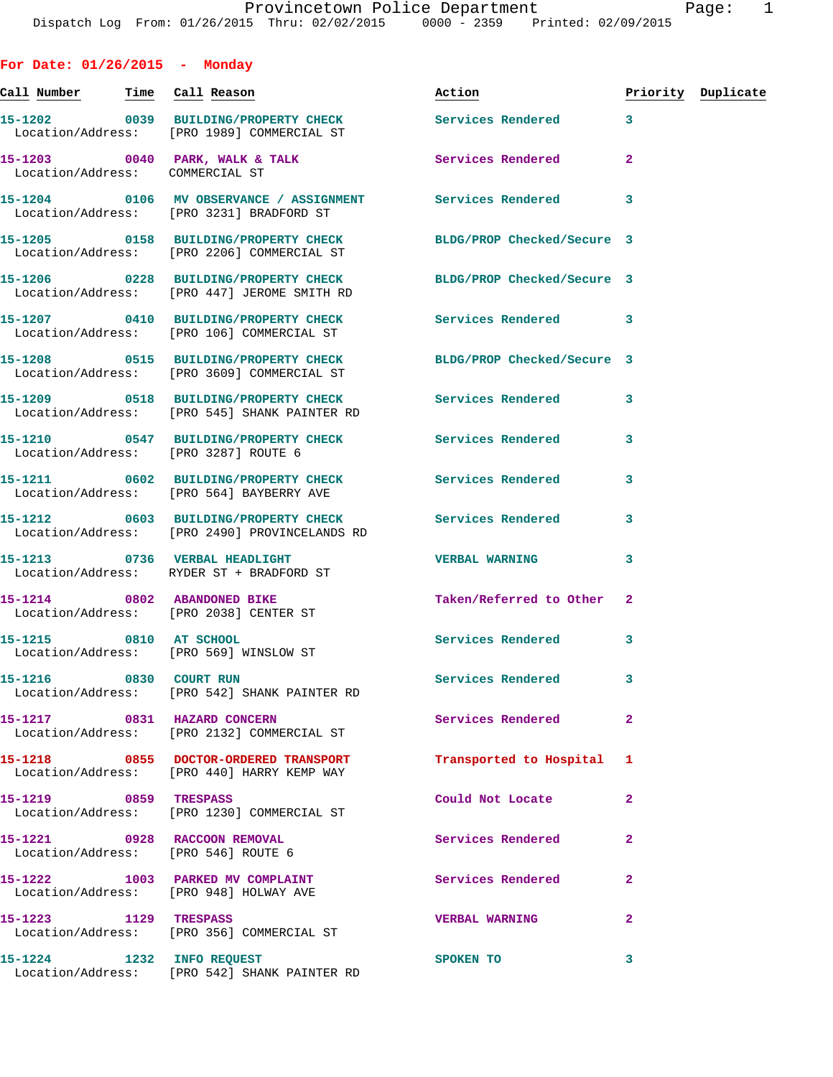**For Date: 01/26/2015 - Monday** Call Number Time Call Reason **Reason Action Action** Priority Duplicate **15-1202 0039 BUILDING/PROPERTY CHECK Services Rendered 3**  Location/Address: [PRO 1989] COMMERCIAL ST 15-1203 0040 PARK, WALK & TALK Services Rendered 2 Location/Address: COMMERCIAL ST **15-1204 0106 MV OBSERVANCE / ASSIGNMENT Services Rendered 3**  Location/Address: [PRO 3231] BRADFORD ST **15-1205 0158 BUILDING/PROPERTY CHECK BLDG/PROP Checked/Secure 3**  Location/Address: [PRO 2206] COMMERCIAL ST **15-1206 0228 BUILDING/PROPERTY CHECK BLDG/PROP Checked/Secure 3**  Location/Address: [PRO 447] JEROME SMITH RD **15-1207 0410 BUILDING/PROPERTY CHECK Services Rendered 3**  Location/Address: [PRO 106] COMMERCIAL ST **15-1208 0515 BUILDING/PROPERTY CHECK BLDG/PROP Checked/Secure 3**  Location/Address: [PRO 3609] COMMERCIAL ST **15-1209 0518 BUILDING/PROPERTY CHECK Services Rendered 3**  Location/Address: [PRO 545] SHANK PAINTER RD **15-1210 0547 BUILDING/PROPERTY CHECK Services Rendered 3**  Location/Address: [PRO 3287] ROUTE 6 **15-1211 0602 BUILDING/PROPERTY CHECK Services Rendered 3**  Location/Address: [PRO 564] BAYBERRY AVE **15-1212 0603 BUILDING/PROPERTY CHECK Services Rendered 3**  Location/Address: [PRO 2490] PROVINCELANDS RD **15-1213 0736 VERBAL HEADLIGHT VERBAL WARNING 3**  Location/Address: RYDER ST + BRADFORD ST 15-1214 0802 ABANDONED BIKE Taken/Referred to Other 2 Location/Address: [PRO 2038] CENTER ST 15-1215 0810 AT SCHOOL Services Rendered 3 Location/Address: [PRO 569] WINSLOW ST **15-1216 0830 COURT RUN Services Rendered 3**  Location/Address: [PRO 542] SHANK PAINTER RD **15-1217 0831 HAZARD CONCERN Services Rendered 2**  Location/Address: [PRO 2132] COMMERCIAL ST **15-1218 0855 DOCTOR-ORDERED TRANSPORT Transported to Hospital 1**  Location/Address: [PRO 440] HARRY KEMP WAY **15-1219 0859 TRESPASS Could Not Locate 2**  Location/Address: [PRO 1230] COMMERCIAL ST **15-1221 0928 RACCOON REMOVAL Services Rendered 2**  Location/Address: [PRO 546] ROUTE 6 15-1222 1003 PARKED MV COMPLAINT **Services Rendered** 2 Location/Address: [PRO 948] HOLWAY AVE **15-1223 1129 TRESPASS VERBAL WARNING 2**  Location/Address: [PRO 356] COMMERCIAL ST

**15-1224 1232 INFO REQUEST SPOKEN TO 3**  Location/Address: [PRO 542] SHANK PAINTER RD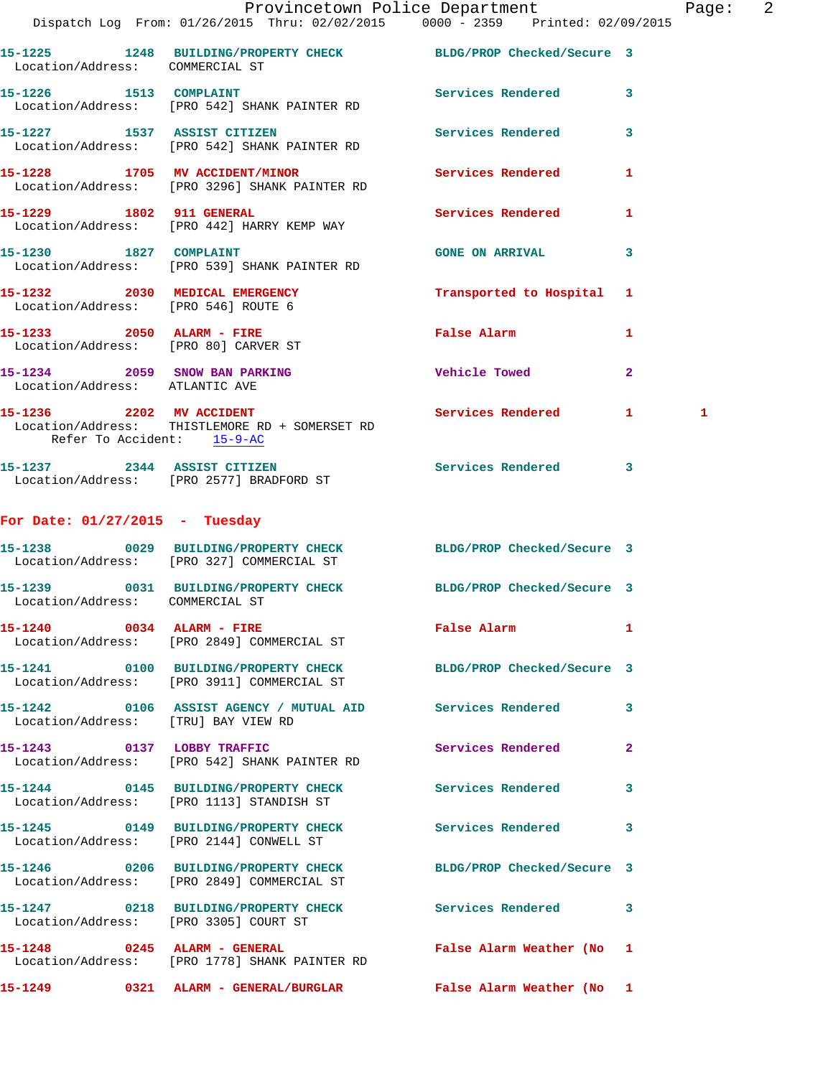|                                                                 | Dispatch Log From: 01/26/2015 Thru: 02/02/2015 0000 - 2359 Printed: 02/09/2015                                | Provincetown Police Department Page: 2 |              |
|-----------------------------------------------------------------|---------------------------------------------------------------------------------------------------------------|----------------------------------------|--------------|
| Location/Address: COMMERCIAL ST                                 | 15-1225 1248 BUILDING/PROPERTY CHECK BLDG/PROP Checked/Secure 3                                               |                                        |              |
|                                                                 | 15-1226 1513 COMPLAINT<br>Location/Address: [PRO 542] SHANK PAINTER RD                                        | Services Rendered 3                    |              |
|                                                                 | 15-1227 1537 ASSIST CITIZEN<br>Location/Address: [PRO 542] SHANK PAINTER RD                                   | Services Rendered 3                    |              |
|                                                                 | 15-1228 1705 MV ACCIDENT/MINOR Services Rendered 1<br>Location/Address: [PRO 3296] SHANK PAINTER RD           |                                        |              |
|                                                                 | 15-1229 1802 911 GENERAL<br>Location/Address: [PRO 442] HARRY KEMP WAY                                        | Services Rendered                      | 1            |
| 15-1230 1827 COMPLAINT                                          | Location/Address: [PRO 539] SHANK PAINTER RD                                                                  | GONE ON ARRIVAL 3                      |              |
| Location/Address: [PRO 546] ROUTE 6                             | 15-1232 2030 MEDICAL EMERGENCY                                                                                | Transported to Hospital 1              |              |
|                                                                 | 15-1233 2050 ALARM - FIRE<br>Location/Address: [PRO 80] CARVER ST                                             | <b>False Alarm</b>                     | 1            |
| 15-1234 2059 SNOW BAN PARKING<br>Location/Address: ATLANTIC AVE |                                                                                                               | <b>Vehicle Towed</b>                   | $\mathbf{2}$ |
| Refer To Accident: 15-9-AC                                      | 15-1236 2202 MV ACCIDENT<br>Location/Address: THISTLEMORE RD + SOMERSET RD                                    | Services Rendered 1                    | 1            |
|                                                                 | 15-1237 2344 ASSIST CITIZEN<br>Location/Address: [PRO 2577] BRADFORD ST                                       | Services Rendered 3                    |              |
| For Date: $01/27/2015$ - Tuesday                                |                                                                                                               |                                        |              |
|                                                                 | 15-1238 0029 BUILDING/PROPERTY CHECK BLDG/PROP Checked/Secure 3<br>Location/Address: [PRO 327] COMMERCIAL ST  |                                        |              |
| Location/Address: COMMERCIAL ST                                 | 15-1239 0031 BUILDING/PROPERTY CHECK BLDG/PROP Checked/Secure 3                                               |                                        |              |
|                                                                 | 15-1240 0034 ALARM - FIRE<br>Location/Address: [PRO 2849] COMMERCIAL ST                                       | <b>False Alarm</b>                     | 1            |
|                                                                 | 15-1241 0100 BUILDING/PROPERTY CHECK BLDG/PROP Checked/Secure 3<br>Location/Address: [PRO 3911] COMMERCIAL ST |                                        |              |
| Location/Address: [TRU] BAY VIEW RD                             | 15-1242  0106 ASSIST AGENCY / MUTUAL AID  Services Rendered 3                                                 |                                        |              |
|                                                                 | 15-1243 0137 LOBBY TRAFFIC<br>Location/Address: [PRO 542] SHANK PAINTER RD                                    | Services Rendered                      | $\mathbf{2}$ |
|                                                                 | 15-1244 0145 BUILDING/PROPERTY CHECK<br>Location/Address: [PRO 1113] STANDISH ST                              | Services Rendered 3                    |              |
|                                                                 | 15-1245 0149 BUILDING/PROPERTY CHECK Services Rendered 3<br>Location/Address: [PRO 2144] CONWELL ST           |                                        |              |
|                                                                 | 15-1246 0206 BUILDING/PROPERTY CHECK BLDG/PROP Checked/Secure 3<br>Location/Address: [PRO 2849] COMMERCIAL ST |                                        |              |
| Location/Address: [PRO 3305] COURT ST                           | 15-1247 0218 BUILDING/PROPERTY CHECK Services Rendered 3                                                      |                                        |              |
|                                                                 | 15-1248 0245 ALARM - GENERAL False Alarm Weather (No 1<br>Location/Address: [PRO 1778] SHANK PAINTER RD       |                                        |              |
|                                                                 |                                                                                                               | False Alarm Weather (No 1              |              |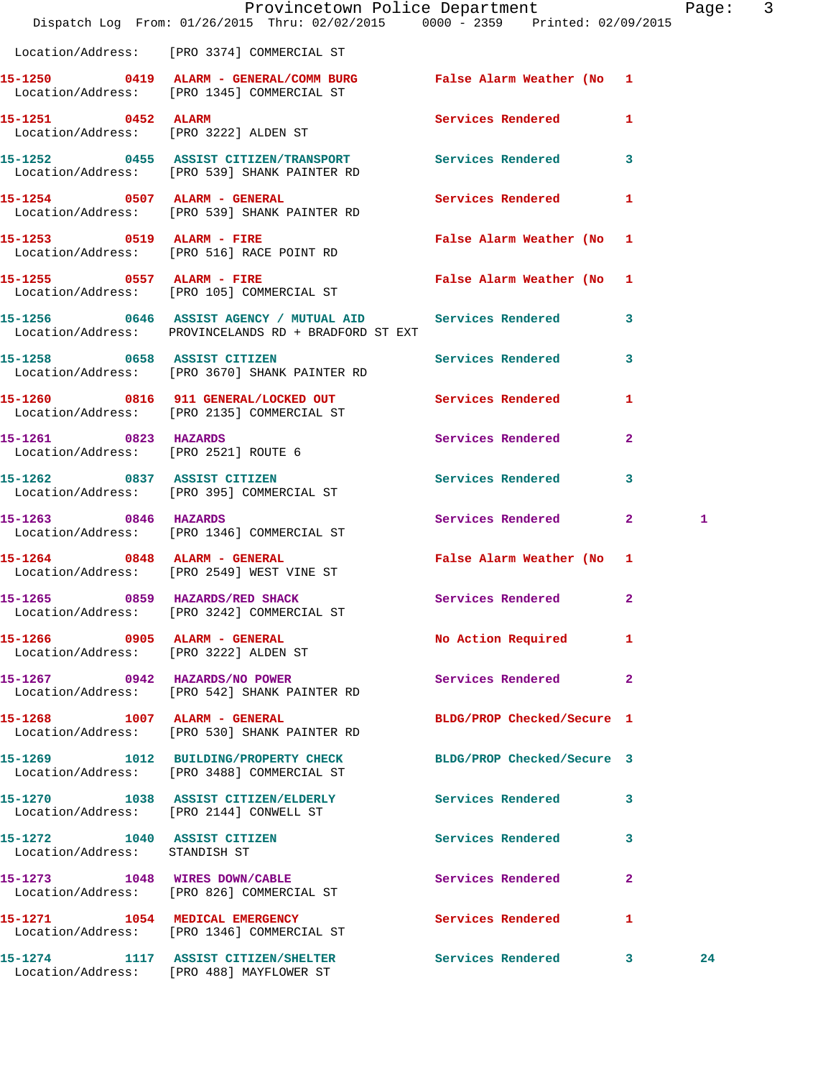|                                                              | Dispatch Log From: 01/26/2015 Thru: 02/02/2015 0000 - 2359 Printed: 02/09/2015                                    | Provincetown Police Department |              | Page: 3 |  |
|--------------------------------------------------------------|-------------------------------------------------------------------------------------------------------------------|--------------------------------|--------------|---------|--|
|                                                              | Location/Address: [PRO 3374] COMMERCIAL ST                                                                        |                                |              |         |  |
|                                                              | 15-1250 0419 ALARM - GENERAL/COMM BURG False Alarm Weather (No 1<br>Location/Address: [PRO 1345] COMMERCIAL ST    |                                |              |         |  |
| 15-1251 0452 ALARM                                           | Location/Address: [PRO 3222] ALDEN ST                                                                             | Services Rendered 1            |              |         |  |
|                                                              | 15-1252 0455 ASSIST CITIZEN/TRANSPORT Services Rendered 3<br>Location/Address: [PRO 539] SHANK PAINTER RD         |                                |              |         |  |
|                                                              | 15-1254 0507 ALARM - GENERAL<br>Location/Address: [PRO 539] SHANK PAINTER RD                                      | Services Rendered              | 1            |         |  |
|                                                              | 15-1253 0519 ALARM - FIRE<br>Location/Address: [PRO 516] RACE POINT RD                                            | False Alarm Weather (No 1      |              |         |  |
|                                                              | 15-1255 0557 ALARM - FIRE<br>Location/Address: [PRO 105] COMMERCIAL ST                                            | False Alarm Weather (No 1      |              |         |  |
|                                                              | 15-1256 0646 ASSIST AGENCY / MUTUAL AID Services Rendered<br>Location/Address: PROVINCELANDS RD + BRADFORD ST EXT |                                | $\mathbf{3}$ |         |  |
|                                                              | 15-1258 0658 ASSIST CITIZEN<br>Location/Address: [PRO 3670] SHANK PAINTER RD                                      | Services Rendered 3            |              |         |  |
|                                                              | 15-1260 0816 911 GENERAL/LOCKED OUT<br>Location/Address: [PRO 2135] COMMERCIAL ST                                 | Services Rendered              | 1            |         |  |
| 15-1261 0823 HAZARDS                                         | Location/Address: [PRO 2521] ROUTE 6                                                                              | Services Rendered 2            |              |         |  |
|                                                              | 15-1262 0837 ASSIST CITIZEN<br>Location/Address: [PRO 395] COMMERCIAL ST                                          | <b>Services Rendered</b>       | $\mathbf{3}$ |         |  |
| 15-1263 0846 HAZARDS                                         | Location/Address: [PRO 1346] COMMERCIAL ST                                                                        | Services Rendered 2            |              | 1       |  |
|                                                              | 15-1264 0848 ALARM - GENERAL<br>Location/Address: [PRO 2549] WEST VINE ST                                         | False Alarm Weather (No 1      |              |         |  |
| 15-1265                                                      | 0859 HAZARDS/RED SHACK<br>Location/Address: [PRO 3242] COMMERCIAL ST                                              | Services Rendered 2            |              |         |  |
|                                                              | 15-1266 0905 ALARM - GENERAL<br>Location/Address: [PRO 3222] ALDEN ST                                             | No Action Required             | $\mathbf{1}$ |         |  |
|                                                              | 15-1267 0942 HAZARDS/NO POWER<br>Location/Address: [PRO 542] SHANK PAINTER RD                                     | Services Rendered 2            |              |         |  |
|                                                              | 15-1268 1007 ALARM - GENERAL<br>Location/Address: [PRO 530] SHANK PAINTER RD                                      | BLDG/PROP Checked/Secure 1     |              |         |  |
|                                                              | 15-1269 1012 BUILDING/PROPERTY CHECK<br>Location/Address: [PRO 3488] COMMERCIAL ST                                | BLDG/PROP Checked/Secure 3     |              |         |  |
|                                                              | 15-1270 1038 ASSIST CITIZEN/ELDERLY<br>Location/Address: [PRO 2144] CONWELL ST                                    | Services Rendered 3            |              |         |  |
| 15-1272 1040 ASSIST CITIZEN<br>Location/Address: STANDISH ST |                                                                                                                   | Services Rendered 3            |              |         |  |
|                                                              | 15-1273 1048 WIRES DOWN/CABLE<br>Location/Address: [PRO 826] COMMERCIAL ST                                        | <b>Services Rendered</b>       | $\mathbf{2}$ |         |  |
|                                                              | 15-1271 1054 MEDICAL EMERGENCY<br>Location/Address: [PRO 1346] COMMERCIAL ST                                      | Services Rendered 1            |              |         |  |
|                                                              | 15-1274 1117 ASSIST CITIZEN/SHELTER Services Rendered 3<br>Location/Address: [PRO 488] MAYFLOWER ST               |                                |              | 24      |  |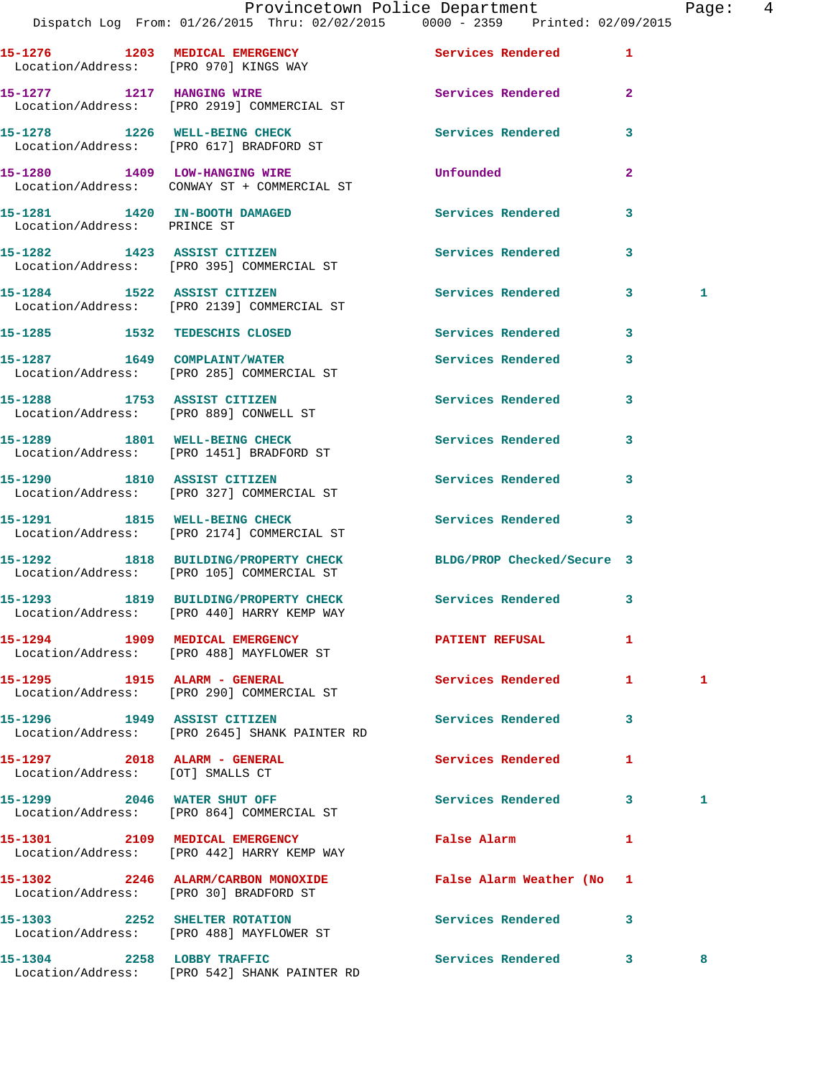|                                                                  | Dispatch Log From: 01/26/2015 Thru: 02/02/2015 0000 - 2359 Printed: 02/09/2015                               | Provincetown Police Department                      |                | Page: 4 |  |
|------------------------------------------------------------------|--------------------------------------------------------------------------------------------------------------|-----------------------------------------------------|----------------|---------|--|
| Location/Address: [PRO 970] KINGS WAY                            | 15-1276 1203 MEDICAL EMERGENCY                                                                               | Services Rendered 1                                 |                |         |  |
|                                                                  | 15-1277 1217 HANGING WIRE<br>Location/Address: [PRO 2919] COMMERCIAL ST                                      | Services Rendered 2                                 |                |         |  |
|                                                                  | 15-1278 1226 WELL-BEING CHECK<br>Location/Address: [PRO 617] BRADFORD ST                                     | <b>Services Rendered</b>                            | 3              |         |  |
|                                                                  | 15-1280 1409 LOW-HANGING WIRE<br>Location/Address: CONWAY ST + COMMERCIAL ST                                 | Unfounded                                           | $\overline{2}$ |         |  |
| Location/Address: PRINCE ST                                      | 15-1281 1420 IN-BOOTH DAMAGED                                                                                | Services Rendered                                   | 3              |         |  |
|                                                                  | 15-1282 1423 ASSIST CITIZEN<br>Location/Address: [PRO 395] COMMERCIAL ST                                     | Services Rendered 3                                 |                |         |  |
|                                                                  | 15-1284 1522 ASSIST CITIZEN<br>Location/Address: [PRO 2139] COMMERCIAL ST                                    | Services Rendered 3                                 |                | 1       |  |
|                                                                  | 15-1285 1532 TEDESCHIS CLOSED                                                                                | Services Rendered                                   | 3              |         |  |
|                                                                  | 15-1287 1649 COMPLAINT/WATER<br>Location/Address: [PRO 285] COMMERCIAL ST                                    | Services Rendered                                   | 3              |         |  |
|                                                                  | 15-1288 1753 ASSIST CITIZEN<br>Location/Address: [PRO 889] CONWELL ST                                        | Services Rendered 3                                 |                |         |  |
|                                                                  | 15-1289 1801 WELL-BEING CHECK<br>Location/Address: [PRO 1451] BRADFORD ST                                    | Services Rendered                                   | 3              |         |  |
|                                                                  | 15-1290 1810 ASSIST CITIZEN<br>Location/Address: [PRO 327] COMMERCIAL ST                                     | Services Rendered                                   | 3              |         |  |
|                                                                  | 15-1291 1815 WELL-BEING CHECK<br>Location/Address: [PRO 2174] COMMERCIAL ST                                  | Services Rendered 3                                 |                |         |  |
|                                                                  | 15-1292 1818 BUILDING/PROPERTY CHECK BLDG/PROP Checked/Secure 3<br>Location/Address: [PRO 105] COMMERCIAL ST |                                                     |                |         |  |
|                                                                  | 15-1293 1819 BUILDING/PROPERTY CHECK Services Rendered 3<br>Location/Address: [PRO 440] HARRY KEMP WAY       |                                                     |                |         |  |
|                                                                  | 15-1294 1909 MEDICAL EMERGENCY<br>Location/Address: [PRO 488] MAYFLOWER ST                                   | PATIENT REFUSAL                                     | 1              |         |  |
|                                                                  | 15-1295    1915    ALARM - GENERAL<br>Location/Address: [PRO 290] COMMERCIAL ST                              | Services Rendered 1                                 |                | 1       |  |
| 15-1296 1949 ASSIST CITIZEN                                      | Location/Address: [PRO 2645] SHANK PAINTER RD                                                                | Services Rendered 3                                 |                |         |  |
| 15-1297 2018 ALARM - GENERAL<br>Location/Address: [OT] SMALLS CT |                                                                                                              | Services Rendered                                   | 1              |         |  |
|                                                                  | 15-1299 2046 WATER SHUT OFF<br>Location/Address: [PRO 864] COMMERCIAL ST                                     | Services Rendered 3                                 |                | 1       |  |
|                                                                  | 15-1301 2109 MEDICAL EMERGENCY<br>Location/Address: [PRO 442] HARRY KEMP WAY                                 | False Alarm <b>Exercise Service Service Service</b> | 1              |         |  |
|                                                                  | 15-1302 2246 ALARM/CARBON MONOXIDE<br>Location/Address: [PRO 30] BRADFORD ST                                 | False Alarm Weather (No 1                           |                |         |  |
|                                                                  | 15-1303 2252 SHELTER ROTATION<br>Location/Address: [PRO 488] MAYFLOWER ST                                    | Services Rendered 3                                 |                |         |  |
| 15-1304 2258 LOBBY TRAFFIC                                       |                                                                                                              | Services Rendered 3                                 |                | 8       |  |

Location/Address: [PRO 542] SHANK PAINTER RD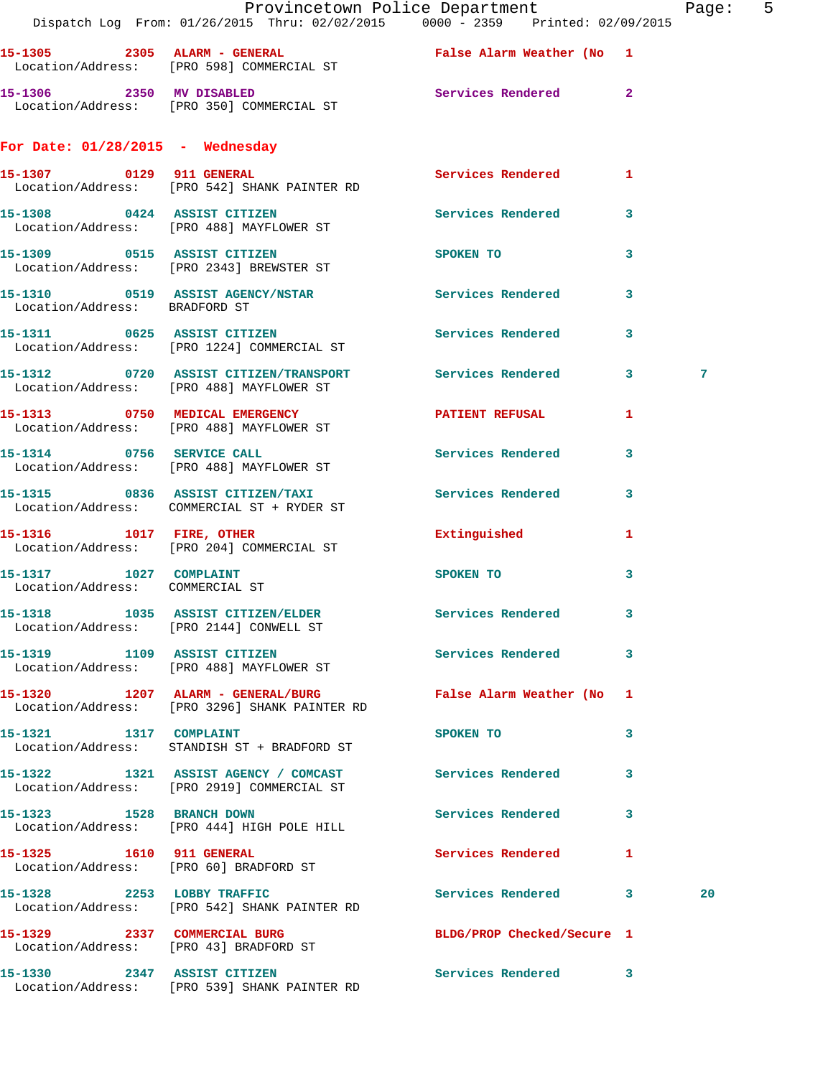|                                                           | Provincetown Police Department<br>Dispatch Log From: 01/26/2015 Thru: 02/02/2015 0000 - 2359 Printed: 02/09/2015 |                            |                         | Page: 5 |  |
|-----------------------------------------------------------|------------------------------------------------------------------------------------------------------------------|----------------------------|-------------------------|---------|--|
|                                                           | 15-1305 2305 ALARM - GENERAL <b>False Alarm Weather (No. 1</b><br>Location/Address: [PRO 598] COMMERCIAL ST      |                            |                         |         |  |
|                                                           | 15-1306 2350 MV DISABLED<br>Location/Address: [PRO 350] COMMERCIAL ST                                            | Services Rendered 2        |                         |         |  |
| For Date: $01/28/2015$ - Wednesday                        |                                                                                                                  |                            |                         |         |  |
|                                                           | 15-1307 0129 911 GENERAL<br>Location/Address: [PRO 542] SHANK PAINTER RD                                         | Services Rendered 1        |                         |         |  |
|                                                           | 15-1308 0424 ASSIST CITIZEN Services Rendered 3<br>Location/Address: [PRO 488] MAYFLOWER ST                      |                            |                         |         |  |
|                                                           | 15-1309 0515 ASSIST CITIZEN<br>Location/Address: [PRO 2343] BREWSTER ST                                          | SPOKEN TO                  | $\overline{\mathbf{3}}$ |         |  |
| Location/Address: BRADFORD ST                             | 15-1310 0519 ASSIST AGENCY/NSTAR Services Rendered                                                               |                            | 3                       |         |  |
|                                                           | 15-1311 0625 ASSIST CITIZEN 5ervices Rendered 3<br>Location/Address: [PRO 1224] COMMERCIAL ST                    |                            |                         |         |  |
|                                                           | 15-1312 0720 ASSIST CITIZEN/TRANSPORT Services Rendered 3<br>Location/Address: [PRO 488] MAYFLOWER ST            |                            |                         | 7       |  |
|                                                           | 15-1313 0750 MEDICAL EMERGENCY PATIENT REFUSAL<br>Location/Address: [PRO 488] MAYFLOWER ST                       |                            | $\mathbf{1}$            |         |  |
|                                                           | 15-1314 0756 SERVICE CALL<br>Location/Address: [PRO 488] MAYFLOWER ST                                            | Services Rendered 3        |                         |         |  |
|                                                           | 15-1315 0836 ASSIST CITIZEN/TAXI Services Rendered<br>Location/Address: COMMERCIAL ST + RYDER ST                 |                            | $\mathbf{3}$            |         |  |
|                                                           | 15-1316 1017 FIRE, OTHER<br>Location/Address: [PRO 204] COMMERCIAL ST                                            | Extinguished               | 1                       |         |  |
| 15-1317 1027 COMPLAINT<br>Location/Address: COMMERCIAL ST |                                                                                                                  | SPOKEN TO                  | 3                       |         |  |
|                                                           | 15-1318 1035 ASSIST CITIZEN/ELDER<br>Location/Address: [PRO 2144] CONWELL ST                                     | Services Rendered 3        |                         |         |  |
|                                                           | 15-1319 1109 ASSIST CITIZEN<br>Location/Address: [PRO 488] MAYFLOWER ST                                          | Services Rendered 3        |                         |         |  |
|                                                           | 15-1320 1207 ALARM - GENERAL/BURG False Alarm Weather (No 1<br>Location/Address: [PRO 3296] SHANK PAINTER RD     |                            |                         |         |  |
| 15-1321 1317 COMPLAINT                                    | Location/Address: STANDISH ST + BRADFORD ST                                                                      | SPOKEN TO                  | 3                       |         |  |
|                                                           | 15-1322 1321 ASSIST AGENCY / COMCAST Services Rendered 3<br>Location/Address: [PRO 2919] COMMERCIAL ST           |                            |                         |         |  |
| 15-1323 1528 BRANCH DOWN                                  | Location/Address: [PRO 444] HIGH POLE HILL                                                                       | Services Rendered 3        |                         |         |  |
|                                                           | 15-1325 1610 911 GENERAL<br>Location/Address: [PRO 60] BRADFORD ST                                               | Services Rendered 1        |                         |         |  |
|                                                           | 15-1328 2253 LOBBY TRAFFIC<br>Location/Address: [PRO 542] SHANK PAINTER RD                                       | Services Rendered 3        |                         | 20      |  |
|                                                           | 15-1329 2337 COMMERCIAL BURG<br>Location/Address: [PRO 43] BRADFORD ST                                           | BLDG/PROP Checked/Secure 1 |                         |         |  |
| 15-1330 2347 ASSIST CITIZEN                               | Location/Address: [PRO 539] SHANK PAINTER RD                                                                     | Services Rendered 3        |                         |         |  |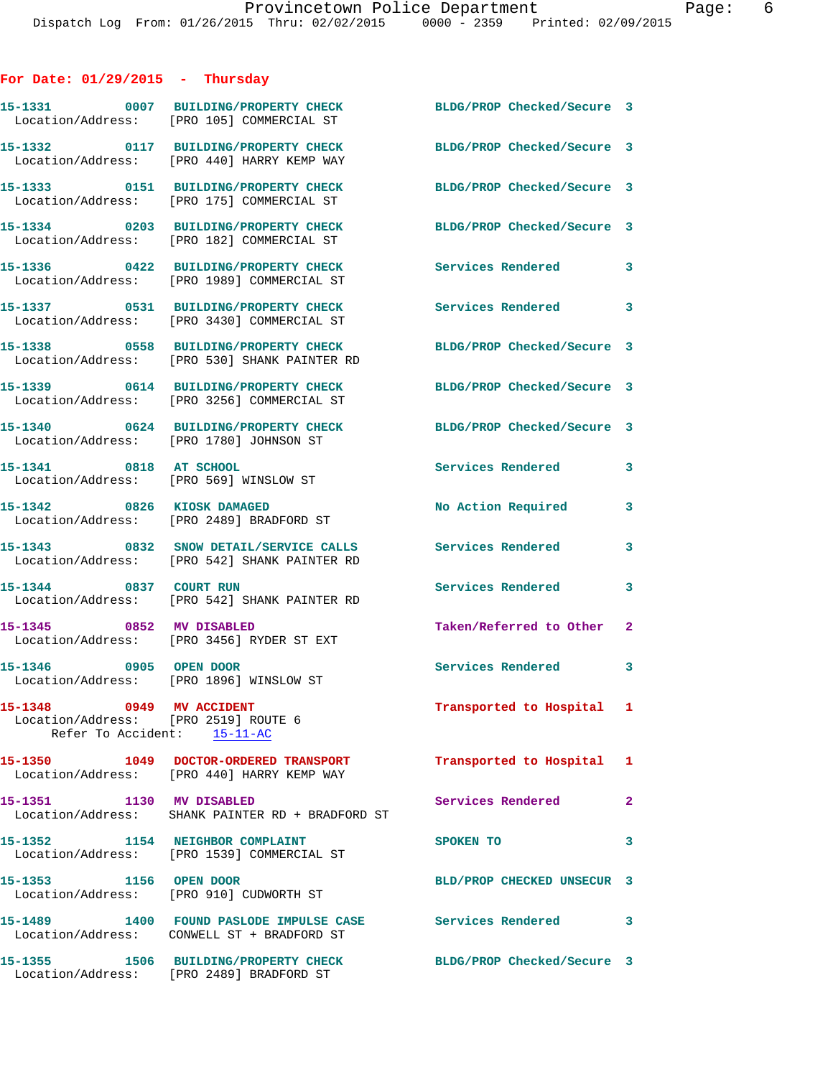## **For Date: 01/29/2015 - Thursday**

|                                                                  | 15-1331 0007 BUILDING/PROPERTY CHECK<br>Location/Address: [PRO 105] COMMERCIAL ST      | BLDG/PROP Checked/Secure 3 |                            |
|------------------------------------------------------------------|----------------------------------------------------------------------------------------|----------------------------|----------------------------|
|                                                                  | 15-1332 0117 BUILDING/PROPERTY CHECK<br>Location/Address: [PRO 440] HARRY KEMP WAY     | BLDG/PROP Checked/Secure 3 |                            |
|                                                                  | 15-1333 0151 BUILDING/PROPERTY CHECK<br>Location/Address: [PRO 175] COMMERCIAL ST      | BLDG/PROP Checked/Secure 3 |                            |
|                                                                  | 15-1334 0203 BUILDING/PROPERTY CHECK<br>Location/Address: [PRO 182] COMMERCIAL ST      | BLDG/PROP Checked/Secure 3 |                            |
|                                                                  | 15-1336 0422 BUILDING/PROPERTY CHECK<br>Location/Address: [PRO 1989] COMMERCIAL ST     | Services Rendered          | $\mathbf{3}$               |
|                                                                  | 15-1337 0531 BUILDING/PROPERTY CHECK<br>Location/Address: [PRO 3430] COMMERCIAL ST     | Services Rendered          | $\overline{\phantom{a}}$ 3 |
|                                                                  | 15-1338 0558 BUILDING/PROPERTY CHECK<br>Location/Address: [PRO 530] SHANK PAINTER RD   | BLDG/PROP Checked/Secure 3 |                            |
|                                                                  | 15-1339 0614 BUILDING/PROPERTY CHECK<br>Location/Address: [PRO 3256] COMMERCIAL ST     | BLDG/PROP Checked/Secure 3 |                            |
|                                                                  | 15-1340 0624 BUILDING/PROPERTY CHECK<br>Location/Address: [PRO 1780] JOHNSON ST        | BLDG/PROP Checked/Secure 3 |                            |
| 15-1341 0818 AT SCHOOL                                           | Location/Address: [PRO 569] WINSLOW ST                                                 | <b>Services Rendered</b>   | $\mathbf{3}$               |
|                                                                  | 15-1342 0826 KIOSK DAMAGED<br>Location/Address: [PRO 2489] BRADFORD ST                 | No Action Required         | 3                          |
|                                                                  | 15-1343 0832 SNOW DETAIL/SERVICE CALLS<br>Location/Address: [PRO 542] SHANK PAINTER RD | Services Rendered          | 3                          |
|                                                                  | 15-1344 0837 COURT RUN<br>Location/Address: [PRO 542] SHANK PAINTER RD                 | <b>Services Rendered</b>   | 3                          |
| 15-1345 0852 MV DISABLED                                         | Location/Address: [PRO 3456] RYDER ST EXT                                              | Taken/Referred to Other 2  |                            |
|                                                                  | 15-1346 0905 OPEN DOOR<br>Location/Address: [PRO 1896] WINSLOW ST                      | Services Rendered 3        |                            |
| 15-1348 0949 MV ACCIDENT<br>Location/Address: [PRO 2519] ROUTE 6 | Refer To Accident: 15-11-AC                                                            | Transported to Hospital 1  |                            |
|                                                                  | 15-1350 1049 DOCTOR-ORDERED TRANSPORT<br>Location/Address: [PRO 440] HARRY KEMP WAY    | Transported to Hospital 1  |                            |
| 15-1351                                                          | 1130 MV DISABLED<br>Location/Address: SHANK PAINTER RD + BRADFORD ST                   | Services Rendered          | $\mathbf{2}$               |
|                                                                  | 15-1352 1154 NEIGHBOR COMPLAINT<br>Location/Address: [PRO 1539] COMMERCIAL ST          | SPOKEN TO                  | 3                          |
| 15-1353 1156 OPEN DOOR                                           | Location/Address: [PRO 910] CUDWORTH ST                                                | BLD/PROP CHECKED UNSECUR 3 |                            |
|                                                                  | 15-1489 1400 FOUND PASLODE IMPULSE CASE<br>Location/Address: CONWELL ST + BRADFORD ST  | Services Rendered          | $\sim$ 3                   |
|                                                                  | 15-1355 1506 BUILDING/PROPERTY CHECK<br>Location/Address: [PRO 2489] BRADFORD ST       | BLDG/PROP Checked/Secure 3 |                            |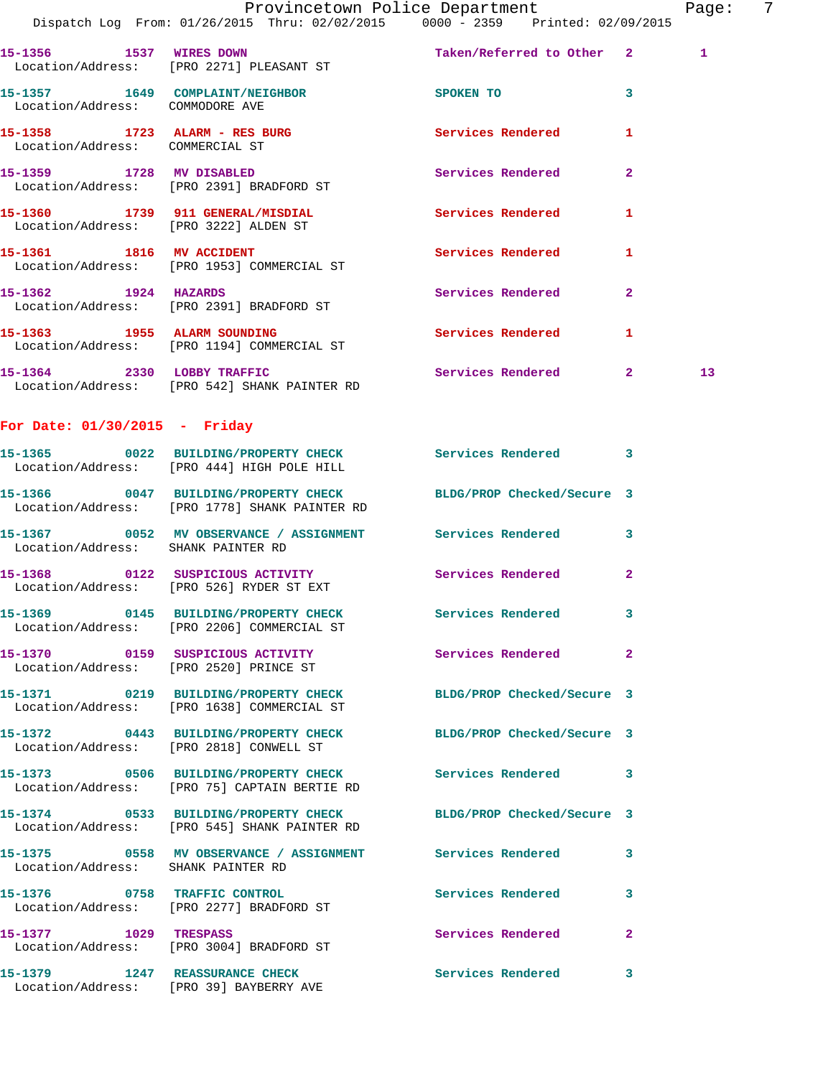|                                       | Provincetown Police Department<br>Dispatch Log From: 01/26/2015 Thru: 02/02/2015 0000 - 2359 Printed: 02/09/2015 |                            |              | Page: 7         |  |
|---------------------------------------|------------------------------------------------------------------------------------------------------------------|----------------------------|--------------|-----------------|--|
|                                       | 15-1356 1537 WIRES DOWN<br>Location/Address: [PRO 2271] PLEASANT ST                                              | Taken/Referred to Other 2  |              | 1               |  |
| Location/Address: COMMODORE AVE       | 15-1357 1649 COMPLAINT/NEIGHBOR                                                                                  | SPOKEN TO                  | $\mathbf{3}$ |                 |  |
| Location/Address: COMMERCIAL ST       | 15-1358 1723 ALARM - RES BURG 15 Services Rendered                                                               |                            | $\mathbf{1}$ |                 |  |
|                                       | 15-1359 1728 MV DISABLED<br>Location/Address: [PRO 2391] BRADFORD ST                                             | Services Rendered 2        |              |                 |  |
| Location/Address: [PRO 3222] ALDEN ST | 15-1360 1739 911 GENERAL/MISDIAL                                                                                 | Services Rendered 1        |              |                 |  |
|                                       | 15-1361 1816 MV ACCIDENT<br>Location/Address: [PRO 1953] COMMERCIAL ST                                           | Services Rendered 1        |              |                 |  |
|                                       | 15-1362 1924 HAZARDS<br>Location/Address: [PRO 2391] BRADFORD ST                                                 | Services Rendered          | $\mathbf{2}$ |                 |  |
|                                       | 15-1363 1955 ALARM SOUNDING<br>Location/Address: [PRO 1194] COMMERCIAL ST                                        | Services Rendered 1        |              |                 |  |
|                                       | 15-1364 2330 LOBBY TRAFFIC<br>Location/Address: [PRO 542] SHANK PAINTER RD                                       | Services Rendered 2        |              | 13 <sup>°</sup> |  |
| For Date: $01/30/2015$ - Friday       |                                                                                                                  |                            |              |                 |  |
|                                       | 15-1365 0022 BUILDING/PROPERTY CHECK Services Rendered 3<br>Location/Address: [PRO 444] HIGH POLE HILL           |                            |              |                 |  |
|                                       | 15-1366 0047 BUILDING/PROPERTY CHECK BLDG/PROP Checked/Secure 3<br>Location/Address: [PRO 1778] SHANK PAINTER RD |                            |              |                 |  |
| Location/Address: SHANK PAINTER RD    | 15-1367 		 0052 MV OBSERVANCE / ASSIGNMENT Services Rendered 3                                                   |                            |              |                 |  |
|                                       | 15-1368 0122 SUSPICIOUS ACTIVITY<br>Location/Address: [PRO 526] RYDER ST EXT                                     | <b>Services Rendered</b> 2 |              |                 |  |
|                                       | 15-1369 0145 BUILDING/PROPERTY CHECK<br>Location/Address: [PRO 2206] COMMERCIAL ST                               | Services Rendered 3        |              |                 |  |
|                                       | 15-1370 0159 SUSPICIOUS ACTIVITY<br>Location/Address: [PRO 2520] PRINCE ST                                       | <b>Services Rendered</b> 2 |              |                 |  |
|                                       | 15-1371 0219 BUILDING/PROPERTY CHECK<br>Location/Address: [PRO 1638] COMMERCIAL ST                               | BLDG/PROP Checked/Secure 3 |              |                 |  |
|                                       | 15-1372 0443 BUILDING/PROPERTY CHECK BLDG/PROP Checked/Secure 3<br>Location/Address: [PRO 2818] CONWELL ST       |                            |              |                 |  |
|                                       | 15-1373 0506 BUILDING/PROPERTY CHECK Services Rendered 3<br>Location/Address: [PRO 75] CAPTAIN BERTIE RD         |                            |              |                 |  |
|                                       | 15-1374 0533 BUILDING/PROPERTY CHECK BLDG/PROP Checked/Secure 3<br>Location/Address: [PRO 545] SHANK PAINTER RD  |                            |              |                 |  |
| Location/Address: SHANK PAINTER RD    | 15-1375 		 0558 MV OBSERVANCE / ASSIGNMENT Services Rendered 3                                                   |                            |              |                 |  |
|                                       | 15-1376 0758 TRAFFIC CONTROL<br>Location/Address: [PRO 2277] BRADFORD ST                                         | Services Rendered          | $\mathbf{3}$ |                 |  |
|                                       | 15-1377 1029 TRESPASS<br>Location/Address: [PRO 3004] BRADFORD ST                                                | Services Rendered          | $\mathbf{2}$ |                 |  |
| 15-1379 1247 REASSURANCE CHECK        | Location/Address: [PRO 39] BAYBERRY AVE                                                                          | Services Rendered 3        |              |                 |  |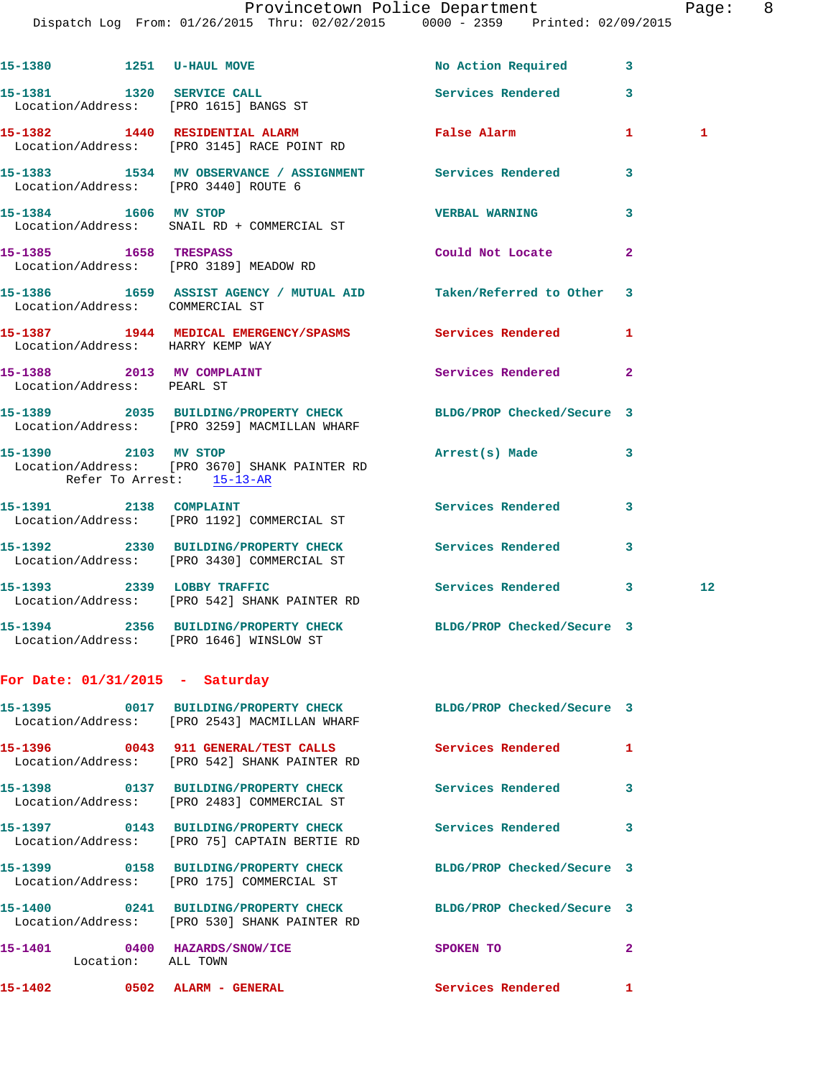Dispatch Log From: 01/26/2015 Thru: 02/02/2015 0000 - 2359 Printed: 02/09/2015

|                             | 15-1380 1251 U-HAUL MOVE                                                                                        | No Action Required 3       |                |                   |
|-----------------------------|-----------------------------------------------------------------------------------------------------------------|----------------------------|----------------|-------------------|
|                             | 15-1381 1320 SERVICE CALL<br>Location/Address: [PRO 1615] BANGS ST                                              | Services Rendered          | 3              |                   |
|                             | 15-1382 1440 RESIDENTIAL ALARM<br>Location/Address: [PRO 3145] RACE POINT RD                                    | <b>False Alarm</b>         | $\mathbf{1}$   | $\mathbf{1}$      |
|                             | 15-1383 1534 MV OBSERVANCE / ASSIGNMENT Services Rendered<br>Location/Address: [PRO 3440] ROUTE 6               |                            | 3              |                   |
|                             | 15-1384 1606 MV STOP<br>Location/Address: SNAIL RD + COMMERCIAL ST                                              | <b>VERBAL WARNING</b>      | 3              |                   |
| 15-1385    1658    TRESPASS | Location/Address: [PRO 3189] MEADOW RD                                                                          | Could Not Locate           | $\mathbf{2}$   |                   |
|                             | 15-1386 1659 ASSIST AGENCY / MUTUAL AID Taken/Referred to Other<br>Location/Address: COMMERCIAL ST              |                            | 3              |                   |
|                             | 15-1387 1944 MEDICAL EMERGENCY/SPASMS Services Rendered<br>Location/Address: HARRY KEMP WAY                     |                            | 1              |                   |
| Location/Address: PEARL ST  | 15-1388 2013 MV COMPLAINT                                                                                       | Services Rendered          | $\overline{2}$ |                   |
|                             | 15-1389 2035 BUILDING/PROPERTY CHECK BLDG/PROP Checked/Secure 3<br>Location/Address: [PRO 3259] MACMILLAN WHARF |                            |                |                   |
|                             | 15-1390 2103 MV STOP<br>Location/Address: [PRO 3670] SHANK PAINTER RD<br>Refer To Arrest: 15-13-AR              | Arrest(s) Made             | 3              |                   |
|                             | 15-1391 2138 COMPLAINT<br>Location/Address: [PRO 1192] COMMERCIAL ST                                            | Services Rendered          | 3              |                   |
|                             | 15-1392 2330 BUILDING/PROPERTY CHECK<br>Location/Address: [PRO 3430] COMMERCIAL ST                              | Services Rendered          | 3              |                   |
|                             | 15-1393 2339 LOBBY TRAFFIC<br>Location/Address: [PRO 542] SHANK PAINTER RD                                      | Services Rendered          | 3              | $12 \overline{ }$ |
|                             | 15-1394 2356 BUILDING/PROPERTY CHECK BLDG/PROP Checked/Secure 3<br>Location/Address: [PRO 1646] WINSLOW ST      |                            |                |                   |
|                             | For Date: $01/31/2015$ - Saturday                                                                               |                            |                |                   |
|                             | 15-1395 0017 BUILDING/PROPERTY CHECK BLDG/PROP Checked/Secure 3<br>Location/Address: [PRO 2543] MACMILLAN WHARF |                            |                |                   |
|                             | 15-1396 0043 911 GENERAL/TEST CALLS<br>Location/Address: [PRO 542] SHANK PAINTER RD                             | Services Rendered          | 1              |                   |
|                             | 15-1398 0137 BUILDING/PROPERTY CHECK<br>Location/Address: [PRO 2483] COMMERCIAL ST                              | Services Rendered          | 3              |                   |
|                             | 15-1397 0143 BUILDING/PROPERTY CHECK<br>Location/Address: [PRO 75] CAPTAIN BERTIE RD                            | Services Rendered          | 3              |                   |
|                             | 15-1399 0158 BUILDING/PROPERTY CHECK<br>Location/Address: [PRO 175] COMMERCIAL ST                               | BLDG/PROP Checked/Secure 3 |                |                   |
|                             | 15-1400 0241 BUILDING/PROPERTY CHECK BLDG/PROP Checked/Secure 3<br>Location/Address: [PRO 530] SHANK PAINTER RD |                            |                |                   |
|                             | 15-1401 0400 HAZARDS/SNOW/ICE<br>Location: ALL TOWN                                                             | SPOKEN TO                  | 2              |                   |
|                             | 15-1402 0502 ALARM - GENERAL                                                                                    | Services Rendered          | 1              |                   |
|                             |                                                                                                                 |                            |                |                   |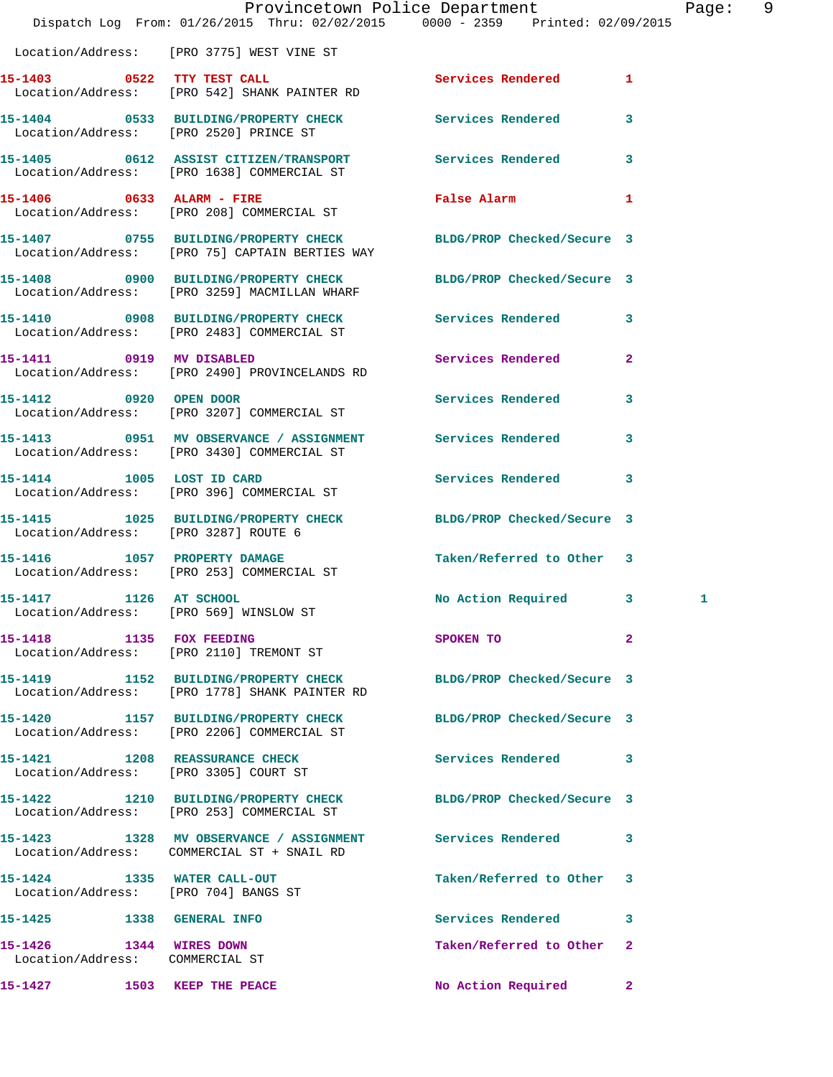|                                                               | Dispatch Log From: 01/26/2015 Thru: 02/02/2015 0000 - 2359 Printed: 02/09/2015                                    | Provincetown Police Department |              | Page: 9 |
|---------------------------------------------------------------|-------------------------------------------------------------------------------------------------------------------|--------------------------------|--------------|---------|
|                                                               | Location/Address: [PRO 3775] WEST VINE ST                                                                         |                                |              |         |
|                                                               | 15-1403 0522 TTY TEST CALL<br>Location/Address: [PRO 542] SHANK PAINTER RD                                        | Services Rendered 1            |              |         |
|                                                               | 15-1404 0533 BUILDING/PROPERTY CHECK Services Rendered 3<br>Location/Address: [PRO 2520] PRINCE ST                |                                |              |         |
|                                                               | 15-1405 0612 ASSIST CITIZEN/TRANSPORT Services Rendered 3<br>Location/Address: [PRO 1638] COMMERCIAL ST           |                                |              |         |
|                                                               | 15-1406 0633 ALARM - FIRE<br>Location/Address: [PRO 208] COMMERCIAL ST                                            | <b>False Alarm</b>             | 1            |         |
|                                                               | 15-1407 0755 BUILDING/PROPERTY CHECK BLDG/PROP Checked/Secure 3<br>Location/Address: [PRO 75] CAPTAIN BERTIES WAY |                                |              |         |
|                                                               | 15-1408 0900 BUILDING/PROPERTY CHECK BLDG/PROP Checked/Secure 3<br>Location/Address: [PRO 3259] MACMILLAN WHARF   |                                |              |         |
|                                                               | 15-1410 0908 BUILDING/PROPERTY CHECK Services Rendered 3<br>Location/Address: [PRO 2483] COMMERCIAL ST            |                                |              |         |
|                                                               | 15-1411 0919 MV DISABLED<br>Location/Address: [PRO 2490] PROVINCELANDS RD                                         | Services Rendered 2            |              |         |
| 15-1412 0920 OPEN DOOR                                        | Location/Address: [PRO 3207] COMMERCIAL ST                                                                        | Services Rendered 3            |              |         |
|                                                               | 15-1413 0951 MV OBSERVANCE / ASSIGNMENT Services Rendered<br>Location/Address: [PRO 3430] COMMERCIAL ST           |                                | 3            |         |
| 15-1414 1005 LOST ID CARD                                     | Location/Address: [PRO 396] COMMERCIAL ST                                                                         | Services Rendered 3            |              |         |
| Location/Address: [PRO 3287] ROUTE 6                          | 15-1415 1025 BUILDING/PROPERTY CHECK BLDG/PROP Checked/Secure 3                                                   |                                |              |         |
|                                                               | 15-1416 1057 PROPERTY DAMAGE<br>Location/Address: [PRO 253] COMMERCIAL ST                                         | Taken/Referred to Other 3      |              |         |
| 15-1417 1126 AT SCHOOL                                        | Location/Address: [PRO 569] WINSLOW ST                                                                            | No Action Required 3           | 1            |         |
| 15-1418    1135    FOX FEEDING                                | Location/Address: [PRO 2110] TREMONT ST                                                                           | SPOKEN TO                      | 2            |         |
|                                                               | 15-1419 1152 BUILDING/PROPERTY CHECK<br>Location/Address: [PRO 1778] SHANK PAINTER RD                             | BLDG/PROP Checked/Secure 3     |              |         |
|                                                               | 15-1420 1157 BUILDING/PROPERTY CHECK<br>Location/Address: [PRO 2206] COMMERCIAL ST                                | BLDG/PROP Checked/Secure 3     |              |         |
|                                                               | 15-1421 1208 REASSURANCE CHECK<br>Location/Address: [PRO 3305] COURT ST                                           | <b>Services Rendered</b>       | 3            |         |
|                                                               | 15-1422 1210 BUILDING/PROPERTY CHECK BLDG/PROP Checked/Secure 3<br>Location/Address: [PRO 253] COMMERCIAL ST      |                                |              |         |
|                                                               | 15-1423 1328 MV OBSERVANCE / ASSIGNMENT Services Rendered<br>Location/Address: COMMERCIAL ST + SNAIL RD           |                                | 3            |         |
| 15-1424 1335 WATER CALL-OUT                                   | Location/Address: [PRO 704] BANGS ST                                                                              | Taken/Referred to Other 3      |              |         |
| 15-1425   1338   GENERAL INFO                                 |                                                                                                                   | <b>Services Rendered</b>       | 3            |         |
| 1344 WIRES DOWN<br>15-1426<br>Location/Address: COMMERCIAL ST |                                                                                                                   | Taken/Referred to Other        | 2            |         |
| 15-1427                                                       | 1503 KEEP THE PEACE                                                                                               | No Action Required             | $\mathbf{2}$ |         |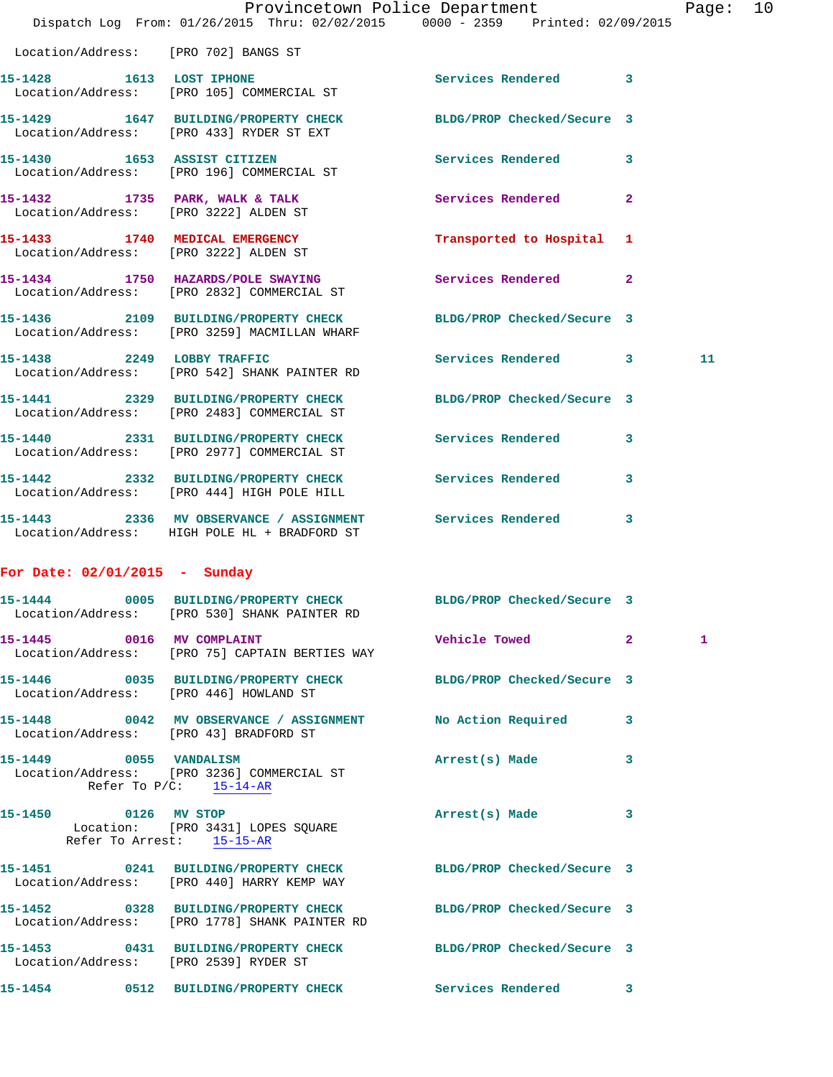|                                                     | Dispatch Log From: 01/26/2015 Thru: 02/02/2015 0000 - 2359 Printed: 02/09/2015                                   | Provincetown Police Department The Mage: 10 |   |    |  |
|-----------------------------------------------------|------------------------------------------------------------------------------------------------------------------|---------------------------------------------|---|----|--|
| Location/Address: [PRO 702] BANGS ST                |                                                                                                                  |                                             |   |    |  |
|                                                     | 15-1428 1613 LOST IPHONE 2008 Services Rendered 3<br>Location/Address: [PRO 105] COMMERCIAL ST                   |                                             |   |    |  |
|                                                     | 15-1429 1647 BUILDING/PROPERTY CHECK BLDG/PROP Checked/Secure 3<br>Location/Address: [PRO 433] RYDER ST EXT      |                                             |   |    |  |
|                                                     | 15-1430 1653 ASSIST CITIZEN<br>Location/Address: [PRO 196] COMMERCIAL ST                                         | Services Rendered 3                         |   |    |  |
|                                                     | 15-1432 1735 PARK, WALK & TALK 3 Services Rendered 2<br>Location/Address: [PRO 3222] ALDEN ST                    |                                             |   |    |  |
|                                                     | 15-1433 1740 MEDICAL EMERGENCY<br>Location/Address: [PRO 3222] ALDEN ST                                          | Transported to Hospital 1                   |   |    |  |
|                                                     | 15-1434 1750 HAZARDS/POLE SWAYING Services Rendered 2<br>Location/Address: [PRO 2832] COMMERCIAL ST              |                                             |   |    |  |
|                                                     | 15-1436 2109 BUILDING/PROPERTY CHECK BLDG/PROP Checked/Secure 3<br>Location/Address: [PRO 3259] MACMILLAN WHARF  |                                             |   |    |  |
|                                                     | 15-1438 2249 LOBBY TRAFFIC<br>Location/Address: [PRO 542] SHANK PAINTER RD                                       | Services Rendered 3                         |   | 11 |  |
|                                                     | 15-1441 2329 BUILDING/PROPERTY CHECK BLDG/PROP Checked/Secure 3<br>Location/Address: [PRO 2483] COMMERCIAL ST    |                                             |   |    |  |
|                                                     | 15-1440 2331 BUILDING/PROPERTY CHECK Services Rendered 3<br>Location/Address: [PRO 2977] COMMERCIAL ST           |                                             |   |    |  |
|                                                     | 15-1442 2332 BUILDING/PROPERTY CHECK Services Rendered 3<br>Location/Address: [PRO 444] HIGH POLE HILL           |                                             |   |    |  |
|                                                     | 15-1443 2336 MV OBSERVANCE / ASSIGNMENT Services Rendered 3<br>Location/Address: HIGH POLE HL + BRADFORD ST      |                                             |   |    |  |
| For Date: $02/01/2015$ - Sunday                     |                                                                                                                  |                                             |   |    |  |
| 15-1444                                             | 0005 BUILDING/PROPERTY CHECK BLDG/PROP Checked/Secure 3<br>Location/Address: [PRO 530] SHANK PAINTER RD          |                                             |   |    |  |
| 15-1445 0016 MV COMPLAINT                           | Location/Address: [PRO 75] CAPTAIN BERTIES WAY                                                                   | Vehicle Towed 2                             |   | 1  |  |
|                                                     | 15-1446 0035 BUILDING/PROPERTY CHECK BLDG/PROP Checked/Secure 3<br>Location/Address: [PRO 446] HOWLAND ST        |                                             |   |    |  |
| Location/Address: [PRO 43] BRADFORD ST              | 15-1448 0042 MV OBSERVANCE / ASSIGNMENT No Action Required                                                       |                                             | 3 |    |  |
| 15-1449 0055 VANDALISM<br>Refer To $P/C$ : 15-14-AR | Location/Address: [PRO 3236] COMMERCIAL ST                                                                       | Arrest(s) Made                              | 3 |    |  |
|                                                     | 15-1450 0126 MV STOP<br>Location: [PRO 3431] LOPES SQUARE<br>Refer To Arrest: 15-15-AR                           | Arrest(s) Made 3                            |   |    |  |
|                                                     | 15-1451 0241 BUILDING/PROPERTY CHECK BLDG/PROP Checked/Secure 3<br>Location/Address: [PRO 440] HARRY KEMP WAY    |                                             |   |    |  |
|                                                     | 15-1452 0328 BUILDING/PROPERTY CHECK BLDG/PROP Checked/Secure 3<br>Location/Address: [PRO 1778] SHANK PAINTER RD |                                             |   |    |  |
| Location/Address: [PRO 2539] RYDER ST               | 15-1453 0431 BUILDING/PROPERTY CHECK BLDG/PROP Checked/Secure 3                                                  |                                             |   |    |  |
|                                                     | 15-1454 0512 BUILDING/PROPERTY CHECK Services Rendered 3                                                         |                                             |   |    |  |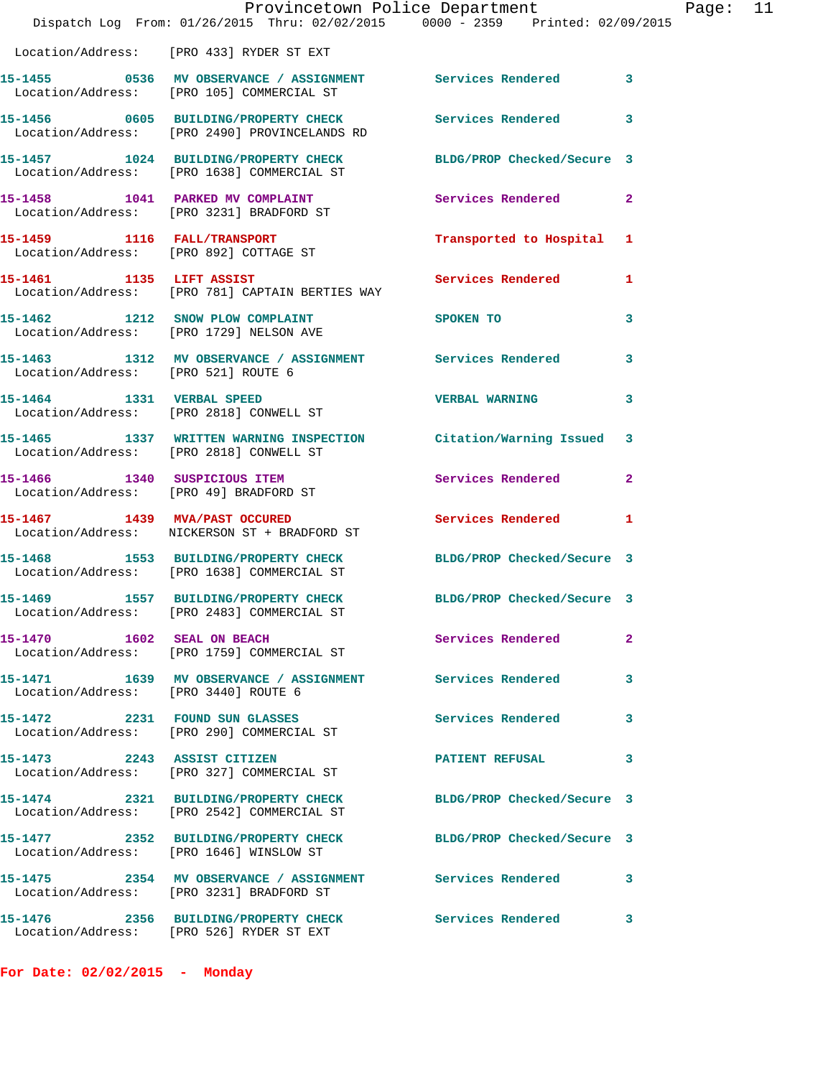|                                                                      | Provincetown Police Department<br>Dispatch Log From: 01/26/2015 Thru: 02/02/2015 0000 - 2359 Printed: 02/09/2015 |                            |                |
|----------------------------------------------------------------------|------------------------------------------------------------------------------------------------------------------|----------------------------|----------------|
|                                                                      | Location/Address: [PRO 433] RYDER ST EXT                                                                         |                            |                |
|                                                                      | Location/Address: [PRO 105] COMMERCIAL ST                                                                        |                            | 3              |
|                                                                      | Location/Address: [PRO 2490] PROVINCELANDS RD                                                                    |                            | 3              |
|                                                                      | 15-1457 1024 BUILDING/PROPERTY CHECK<br>Location/Address: [PRO 1638] COMMERCIAL ST                               | BLDG/PROP Checked/Secure 3 |                |
| 15-1458 1041 PARKED MV COMPLAINT                                     | Location/Address: [PRO 3231] BRADFORD ST                                                                         | Services Rendered          | $\overline{2}$ |
| 15-1459 1116 FALL/TRANSPORT                                          | Location/Address: [PRO 892] COTTAGE ST                                                                           | Transported to Hospital    | 1              |
| 15-1461 1135 LIFT ASSIST                                             | Location/Address: [PRO 781] CAPTAIN BERTIES WAY                                                                  | Services Rendered          | 1              |
|                                                                      | 15-1462 1212 SNOW PLOW COMPLAINT<br>Location/Address: [PRO 1729] NELSON AVE                                      | SPOKEN TO                  | 3              |
| Location/Address: [PRO 521] ROUTE 6                                  | 15-1463 1312 MV OBSERVANCE / ASSIGNMENT Services Rendered                                                        |                            | 3              |
| 15-1464 1331 VERBAL SPEED<br>Location/Address: [PRO 2818] CONWELL ST |                                                                                                                  | <b>VERBAL WARNING</b>      | 3              |
| Location/Address: [PRO 2818] CONWELL ST                              | 15-1465 1337 WRITTEN WARNING INSPECTION Citation/Warning Issued                                                  |                            | 3              |
| 15-1466 1340 SUSPICIOUS ITEM                                         | Location/Address: [PRO 49] BRADFORD ST                                                                           | Services Rendered          | $\overline{a}$ |
| 15-1467 1439 MVA/PAST OCCURED                                        | Location/Address: NICKERSON ST + BRADFORD ST                                                                     | <b>Services Rendered</b>   | 1              |
|                                                                      | 15-1468 1553 BUILDING/PROPERTY CHECK<br>Location/Address: [PRO 1638] COMMERCIAL ST                               | BLDG/PROP Checked/Secure 3 |                |
|                                                                      | 15-1469 1557 BUILDING/PROPERTY CHECK<br>Location/Address: [PRO 2483] COMMERCIAL ST                               | BLDG/PROP Checked/Secure 3 |                |
| $15-1470$ $1602$ SEAL ON BEACH                                       | Location/Address: [PRO 1759] COMMERCIAL ST                                                                       | Services Rendered          | $\mathbf{2}$   |
| Location/Address: [PRO 3440] ROUTE 6                                 | 15-1471 1639 MV OBSERVANCE / ASSIGNMENT Services Rendered                                                        |                            | 3              |
| 15-1472 2231 FOUND SUN GLASSES                                       | Location/Address: [PRO 290] COMMERCIAL ST                                                                        | <b>Services Rendered</b>   | 3              |
|                                                                      | 15-1473  2243  ASSIST CITIZEN<br>Location/Address: [PRO 327] COMMERCIAL ST                                       | <b>PATIENT REFUSAL</b>     | 3              |
|                                                                      | 15-1474 2321 BUILDING/PROPERTY CHECK<br>Location/Address: [PRO 2542] COMMERCIAL ST                               | BLDG/PROP Checked/Secure 3 |                |
| Location/Address: [PRO 1646] WINSLOW ST                              | 15-1477 2352 BUILDING/PROPERTY CHECK                                                                             | BLDG/PROP Checked/Secure 3 |                |
|                                                                      | 15-1475 2354 MV OBSERVANCE / ASSIGNMENT Services Rendered<br>Location/Address: [PRO 3231] BRADFORD ST            |                            | 3              |
|                                                                      | 15-1476  2356 BUILDING/PROPERTY CHECK Services Rendered<br>Location/Address: [PRO 526] RYDER ST EXT              |                            | 3              |

**For Date: 02/02/2015 - Monday**

Page:  $11$ <br> $15$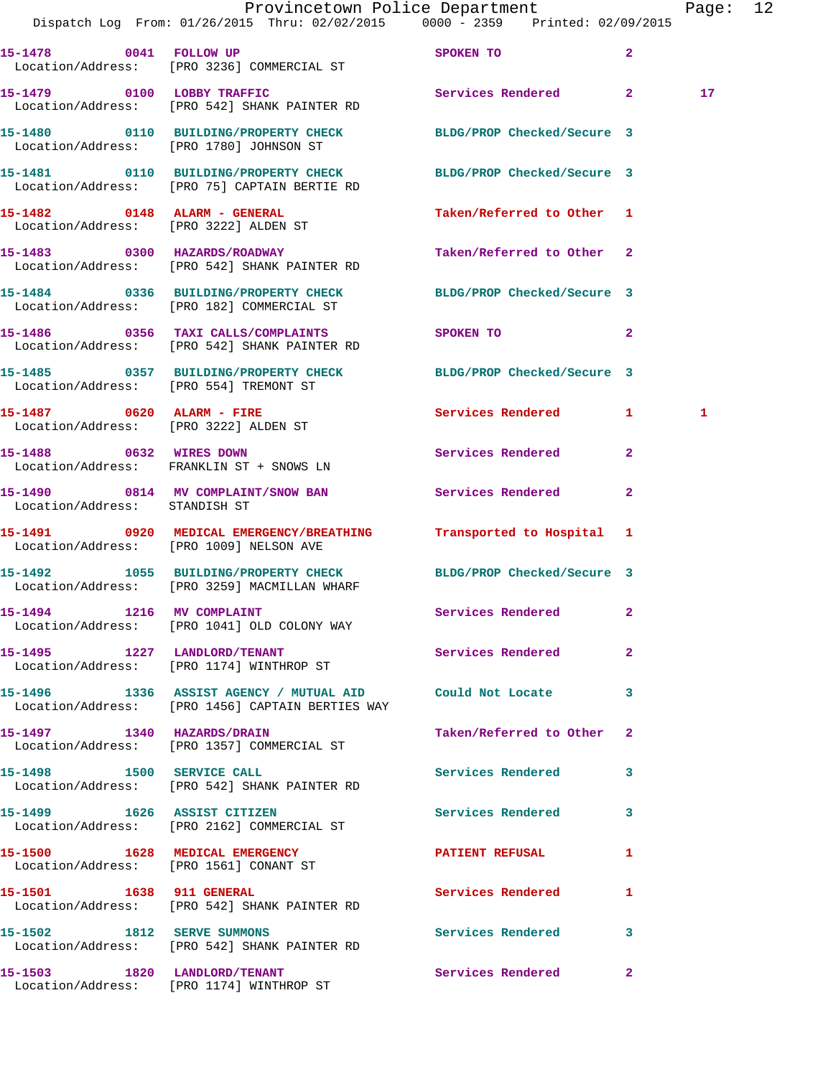|                                       | Dispatch Log From: 01/26/2015 Thru: 02/02/2015 0000 - 2359 Printed: 02/09/2015                                   | Provincetown Police Department                                                                                                                                                                                                                  | Page: 12        |  |
|---------------------------------------|------------------------------------------------------------------------------------------------------------------|-------------------------------------------------------------------------------------------------------------------------------------------------------------------------------------------------------------------------------------------------|-----------------|--|
|                                       | 15-1478 0041 FOLLOW UP<br>Location/Address: [PRO 3236] COMMERCIAL ST                                             | SPOKEN TO AND THE SPOKEN OF THE STATE OF THE SPOKEN OF THE STATE OF THE SPOKEN OF THE STATE OF THE STATE OF THE STATE OF THE STATE OF THE STATE OF THE STATE OF THE STATE OF THE STATE OF THE STATE OF THE STATE OF THE STATE<br>$\overline{2}$ |                 |  |
|                                       | 15-1479 0100 LOBBY TRAFFIC<br>Location/Address: [PRO 542] SHANK PAINTER RD                                       | Services Rendered 2                                                                                                                                                                                                                             | 17 <sub>2</sub> |  |
|                                       | 15-1480   0110   BUILDING/PROPERTY CHECK   BLDG/PROP Checked/Secure 3<br>Location/Address: [PRO 1780] JOHNSON ST |                                                                                                                                                                                                                                                 |                 |  |
|                                       | 15-1481  0110 BUILDING/PROPERTY CHECK BLDG/PROP Checked/Secure 3<br>Location/Address: [PRO 75] CAPTAIN BERTIE RD |                                                                                                                                                                                                                                                 |                 |  |
|                                       | 15-1482 0148 ALARM - GENERAL<br>Location/Address: [PRO 3222] ALDEN ST                                            | Taken/Referred to Other 1                                                                                                                                                                                                                       |                 |  |
|                                       | 15-1483 0300 HAZARDS/ROADWAY<br>Location/Address: [PRO 542] SHANK PAINTER RD                                     | Taken/Referred to Other 2                                                                                                                                                                                                                       |                 |  |
|                                       | 15-1484 0336 BUILDING/PROPERTY CHECK BLDG/PROP Checked/Secure 3<br>Location/Address: [PRO 182] COMMERCIAL ST     |                                                                                                                                                                                                                                                 |                 |  |
|                                       | 15-1486 0356 TAXI CALLS/COMPLAINTS<br>Location/Address: [PRO 542] SHANK PAINTER RD                               | SPOKEN TO<br>$\overline{2}$                                                                                                                                                                                                                     |                 |  |
|                                       | 15-1485 0357 BUILDING/PROPERTY CHECK BLDG/PROP Checked/Secure 3<br>Location/Address: [PRO 554] TREMONT ST        |                                                                                                                                                                                                                                                 |                 |  |
| Location/Address: [PRO 3222] ALDEN ST | 15-1487 0620 ALARM - FIRE                                                                                        | Services Rendered 1                                                                                                                                                                                                                             | 1               |  |
| 15-1488 0632 WIRES DOWN               | Location/Address: FRANKLIN ST + SNOWS LN                                                                         | Services Rendered 2                                                                                                                                                                                                                             |                 |  |
| Location/Address: STANDISH ST         | 15-1490 0814 MV COMPLAINT/SNOW BAN Services Rendered                                                             | $\mathbf{2}$                                                                                                                                                                                                                                    |                 |  |
|                                       | 15-1491 0920 MEDICAL EMERGENCY/BREATHING<br>Location/Address: [PRO 1009] NELSON AVE                              | Transported to Hospital 1                                                                                                                                                                                                                       |                 |  |
|                                       | 15-1492 1055 BUILDING/PROPERTY CHECK BLDG/PROP Checked/Secure 3<br>Location/Address: [PRO 3259] MACMILLAN WHARF  |                                                                                                                                                                                                                                                 |                 |  |
| 15-1494 1216 MV COMPLAINT             | Location/Address: [PRO 1041] OLD COLONY WAY                                                                      | Services Rendered 2                                                                                                                                                                                                                             |                 |  |
|                                       | 15-1495 1227 LANDLORD/TENANT<br>Location/Address: [PRO 1174] WINTHROP ST                                         | Services Rendered<br>$\mathbf{2}$                                                                                                                                                                                                               |                 |  |
|                                       | 15-1496 1336 ASSIST AGENCY / MUTUAL AID Could Not Locate 3<br>Location/Address: [PRO 1456] CAPTAIN BERTIES WAY   |                                                                                                                                                                                                                                                 |                 |  |
|                                       | 15-1497 1340 HAZARDS/DRAIN<br>Location/Address: [PRO 1357] COMMERCIAL ST                                         | Taken/Referred to Other 2                                                                                                                                                                                                                       |                 |  |
| 15-1498 1500 SERVICE CALL             | Location/Address: [PRO 542] SHANK PAINTER RD                                                                     | Services Rendered 3                                                                                                                                                                                                                             |                 |  |
|                                       | 15-1499 1626 ASSIST CITIZEN<br>Location/Address: [PRO 2162] COMMERCIAL ST                                        | Services Rendered<br>3                                                                                                                                                                                                                          |                 |  |
|                                       | 15-1500 1628 MEDICAL EMERGENCY<br>Location/Address: [PRO 1561] CONANT ST                                         | PATIENT REFUSAL<br>$\mathbf{1}$                                                                                                                                                                                                                 |                 |  |
|                                       | 15-1501 1638 911 GENERAL<br>Location/Address: [PRO 542] SHANK PAINTER RD                                         | Services Rendered<br>1                                                                                                                                                                                                                          |                 |  |
| 15-1502 1812 SERVE SUMMONS            | Location/Address: [PRO 542] SHANK PAINTER RD                                                                     | Services Rendered 3                                                                                                                                                                                                                             |                 |  |
|                                       | 15-1503 1820 LANDLORD/TENANT<br>Location/Address: [PRO 1174] WINTHROP ST                                         | <b>Services Rendered 22</b>                                                                                                                                                                                                                     |                 |  |